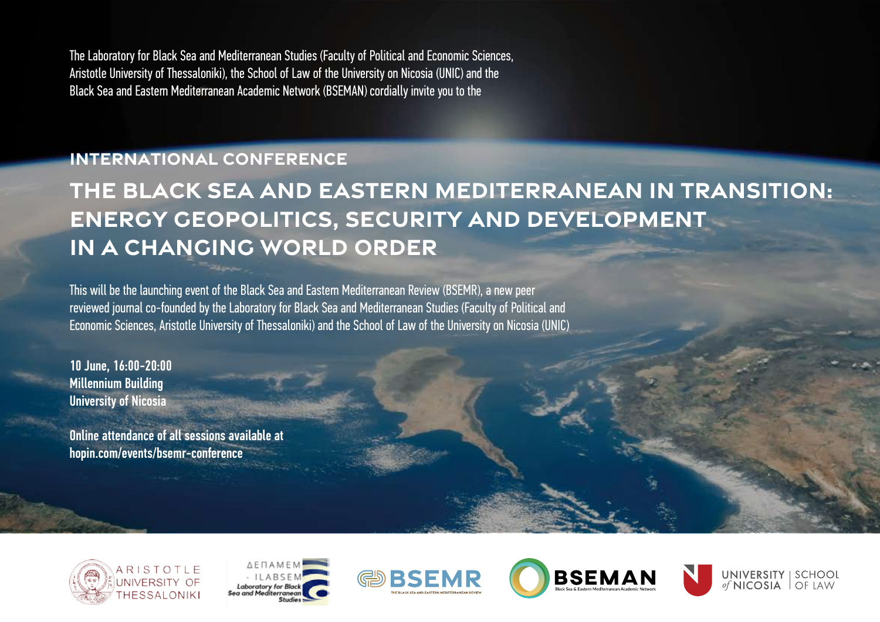The Laboratory for Black Sea and Mediterranean Studies (Faculty of Political and Economic Sciences, Aristotle University of Thessaloniki), the School of Law of the University on Nicosia (UNIC) and the Black Sea and Eastern Mediterranean Academic Network (BSEMAN) cordially invite you to the

## **international conference**

## **The Black Sea and Eastern Mediterranean in Transition: Energy Geopolitics, Security and Development in a Changing World Order**

This will be the launching event of the Black Sea and Eastern Mediterranean Review (BSEMR), a new peer reviewed journal co-founded by the Laboratory for Black Sea and Mediterranean Studies (Faculty of Political and Economic Sciences, Aristotle University of Thessaloniki) and the School of Law of the University on Nicosia (UNIC)

10 June, 16:00-20:00 Millennium Building University of Nicosia

Online attendance of all sessions available at hopin.com/events/bsemr-conference









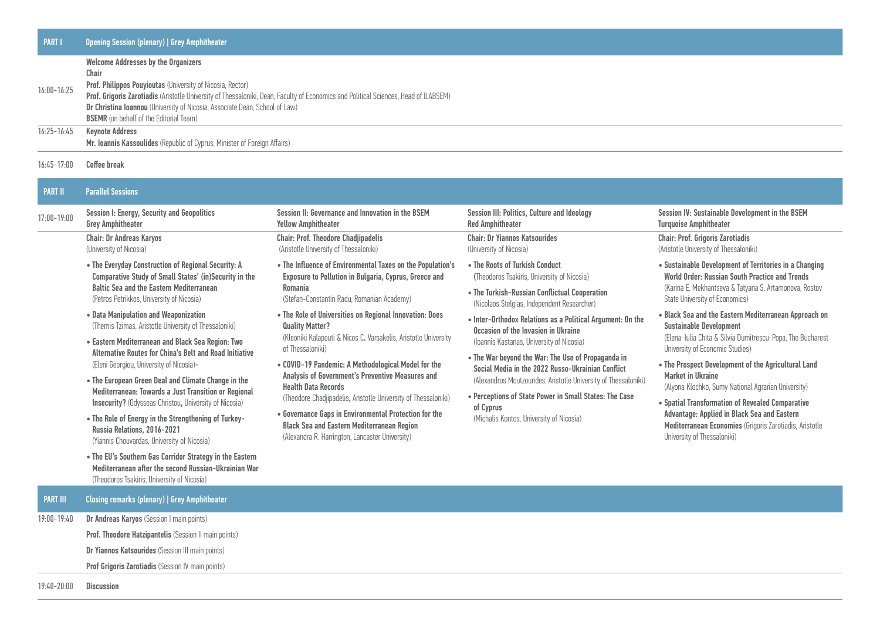| <b>PART I</b>   | <b>Opening Session (plenary)   Grey Amphitheater</b>                                                                                 |
|-----------------|--------------------------------------------------------------------------------------------------------------------------------------|
| $16:00 - 16:25$ | <b>Welcome Addresses by the Organizers</b>                                                                                           |
|                 | Chair                                                                                                                                |
|                 | <b>Prof. Philippos Pouyioutas</b> (University of Nicosia, Rector)                                                                    |
|                 | Prof. Grigoris Zarotiadis (Aristotle University of Thessaloniki, Dean, Faculty of Economics and Political Sciences, Head of ILABSEM) |
|                 | Dr Christina Ioannou (University of Nicosia, Associate Dean, School of Law)                                                          |
|                 | <b>BSEMR</b> (on behalf of the Editorial Team)                                                                                       |
| $16:25 - 16:45$ | <b>Keynote Address</b>                                                                                                               |

16:45-17:00 Coffee break

## PART II Parallel Sessions 17:00-19:00 Session I: Energy, Security and Geopolitics Grey Amphitheater Session II: Governance and Innovation in the BSEM Yellow Amphitheater Session III: Politics, Culture and Ideology Red Amphitheater Session IV: Sustainable Development in the BSEM Turquoise Amphitheater Chair: Dr Andreas Karyos (University of Nicosia) • The Everyday Construction of Regional Security: A Comparative Study of Small States' (in)Security in the Baltic Sea and the Eastern Mediterranean (Petros Petrikkos, University of Nicosia) • Data Manipulation and Weaponization (Themis Tzimas, Aristotle University of Thessaloniki) • Eastern Mediterranean and Black Sea Region: Two Alternative Routes for China's Belt and Road Initiative (Eleni Georgiou, University of Nicosia)- • The European Green Deal and Climate Change in the Mediterranean: Towards a Just Transition or Regional Insecurity? (Odysseas Christou, University of Nicosia) • The Role of Energy in the Strengthening of Turkey-Russia Relations, 2016-2021 Chair: Prof. Theodore Chadjipadelis (Aristotle University of Thessaloniki) • The Influence of Environmental Taxes on the Population's Exposure to Pollution in Bulgaria, Cyprus, Greece and Romania (Stefan-Constantin Radu, Romanian Academy) • The Role of Universities on Regional Innovation: Does Quality Matter? (Kleoniki Kalapouti & Nicos C. Varsakelis, Aristotle University of Thessaloniki) • COVID-19 Pandemic: A Methodological Model for the Analysis of Government's Preventive Measures and Health Data Records (Theodore Chadjipadelis, Aristotle University of Thessaloniki) • Governance Gaps in Environmental Protection for the Black Sea and Eastern Mediterranean Region (Alexandra R. Harrington, Lancaster University) Chair: Dr Yiannos Katsourides (University of Nicosia) • The Roots of Turkish Conduct (Theodoros Tsakiris, University of Nicosia) • The Turkish-Russian Conflictual Cooperation (Nicolaos Stelgias, Independent Researcher) • Inter-Orthodox Relations as a Political Argument: On the Occasion of the Invasion in Ukraine (Ioannis Kastanas, University of Nicosia) • The War beyond the War: The Use of Propaganda in Social Media in the 2022 Russo-Ukrainian Conflict (Alexandros Moutzourides, Aristotle University of Thessaloniki) • Perceptions of State Power in Small States: The Case of Cyprus (Michalis Kontos, University of Nicosia) Chair: Prof. Grigoris Zarotiadis (Aristotle University of Thessaloniki) • Sustainable Development of Territories in a Changing World Order: Russian South Practice and Trends (Karina E. Mekhantseva & Tatyana S. Artamonova, Rostov State University of Economics) • Black Sea and the Eastern Mediterranean Approach on Sustainable Development (Elena-Iulia Chita & Silvia Dumitrescu-Popa, The Bucharest University of Economic Studies) • The Prospect Development of the Agricultural Land Market in Ukraine (Alyona Klochko, Sumy National Agrarian University) • Spatial Transformation of Revealed Comparative Advantage: Applied in Black Sea and Eastern Mediterranean Economies (Grigoris Zarotiadis, Aristotle, University of Thessaloniki)

(Yiannis Chouvardas, University of Nicosia)

• The EU's Southern Gas Corridor Strategy in the Eastern Mediterranean after the second Russian-Ukrainian War (Theodoros Tsakiris, University of Nicosia)

Mr. Ioannis Kassoulides (Republic of Cyprus, Minister of Foreign Affairs)

PART III Closing remarks (plenary) | Grey Amphitheater

19:00-19:40 Dr Andreas Karyos (Session I main points)

Prof. Theodore Hatzipantelis (Session II main points)

Dr Yiannos Katsourides (Session III main points)

**Prof Grigoris Zarotiadis (Session IV main points)** 

19:40-20:00 Discussion